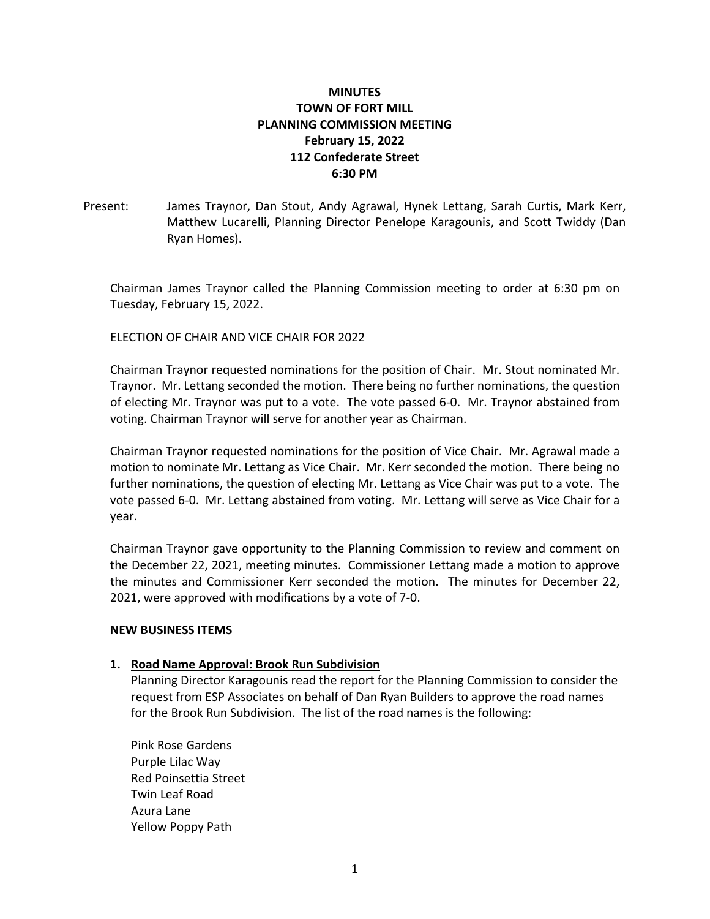# **MINUTES TOWN OF FORT MILL PLANNING COMMISSION MEETING February 15, 2022 112 Confederate Street 6:30 PM**

Present: James Traynor, Dan Stout, Andy Agrawal, Hynek Lettang, Sarah Curtis, Mark Kerr, Matthew Lucarelli, Planning Director Penelope Karagounis, and Scott Twiddy (Dan Ryan Homes).

Chairman James Traynor called the Planning Commission meeting to order at 6:30 pm on Tuesday, February 15, 2022.

## ELECTION OF CHAIR AND VICE CHAIR FOR 2022

Chairman Traynor requested nominations for the position of Chair. Mr. Stout nominated Mr. Traynor. Mr. Lettang seconded the motion. There being no further nominations, the question of electing Mr. Traynor was put to a vote. The vote passed 6-0. Mr. Traynor abstained from voting. Chairman Traynor will serve for another year as Chairman.

Chairman Traynor requested nominations for the position of Vice Chair. Mr. Agrawal made a motion to nominate Mr. Lettang as Vice Chair. Mr. Kerr seconded the motion. There being no further nominations, the question of electing Mr. Lettang as Vice Chair was put to a vote. The vote passed 6-0. Mr. Lettang abstained from voting. Mr. Lettang will serve as Vice Chair for a year.

Chairman Traynor gave opportunity to the Planning Commission to review and comment on the December 22, 2021, meeting minutes. Commissioner Lettang made a motion to approve the minutes and Commissioner Kerr seconded the motion. The minutes for December 22, 2021, were approved with modifications by a vote of 7-0.

### **NEW BUSINESS ITEMS**

### **1. Road Name Approval: Brook Run Subdivision**

Planning Director Karagounis read the report for the Planning Commission to consider the request from ESP Associates on behalf of Dan Ryan Builders to approve the road names for the Brook Run Subdivision. The list of the road names is the following:

Pink Rose Gardens Purple Lilac Way Red Poinsettia Street Twin Leaf Road Azura Lane Yellow Poppy Path